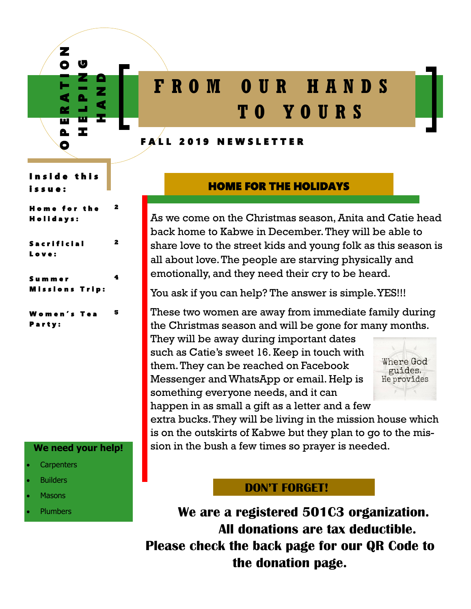

# **F R O M O U R H A N D S T O Y O U R S**

#### FALL 2019 NEWSLETTER

n side this i s s u e :

H o m e f o r t h e H o l i d a y s :

**2** 

**4** 

#### S a c r i f i c i a l L o v e : **2**

S u m m e r ssions Trip:

W o m e n ' s T e a Party: **5** 

### **We need your help!**

- **Carpenters**
- **Builders**
- **Masons**
- **Plumbers**

# HOME FOR THE HOLIDAYS

As we come on the Christmas season, Anita and Catie head back home to Kabwe in December. They will be able to share love to the street kids and young folk as this season is all about love. The people are starving physically and emotionally, and they need their cry to be heard.

You ask if you can help? The answer is simple. YES!!!

These two women are away from immediate family during the Christmas season and will be gone for many months.

They will be away during important dates such as Catie's sweet 16. Keep in touch with them. They can be reached on Facebook Messenger and WhatsApp or email. Help is something everyone needs, and it can happen in as small a gift as a letter and a few



extra bucks. They will be living in the mission house which is on the outskirts of Kabwe but they plan to go to the mission in the bush a few times so prayer is needed.

# **DON'T FORGET!**

**We are a registered 501C3 organization. All donations are tax deductible. Please check the back page for our QR Code to the donation page.**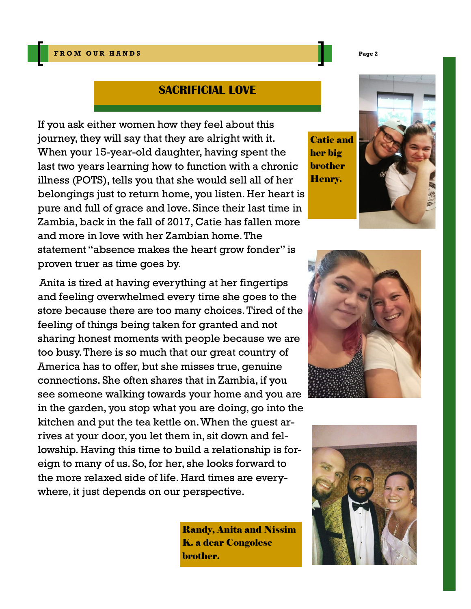## **SACRIFICIAL LOVE**

If you ask either women how they feel about this journey, they will say that they are alright with it. When your 15-year-old daughter, having spent the last two years learning how to function with a chronic illness (POTS), tells you that she would sell all of her belongings just to return home, you listen. Her heart is pure and full of grace and love. Since their last time in Zambia, back in the fall of 2017, Catie has fallen more and more in love with her Zambian home. The statement "absence makes the heart grow fonder" is proven truer as time goes by.

Anita is tired at having everything at her fingertips and feeling overwhelmed every time she goes to the store because there are too many choices. Tired of the feeling of things being taken for granted and not sharing honest moments with people because we are too busy. There is so much that our great country of America has to offer, but she misses true, genuine connections. She often shares that in Zambia, if you see someone walking towards your home and you are in the garden, you stop what you are doing, go into the kitchen and put the tea kettle on. When the guest arrives at your door, you let them in, sit down and fellowship. Having this time to build a relationship is foreign to many of us. So, for her, she looks forward to the more relaxed side of life. Hard times are everywhere, it just depends on our perspective.

Randy, Anita and Nissim K. a dear Congolese brother.

Catie and her big brother Henry.







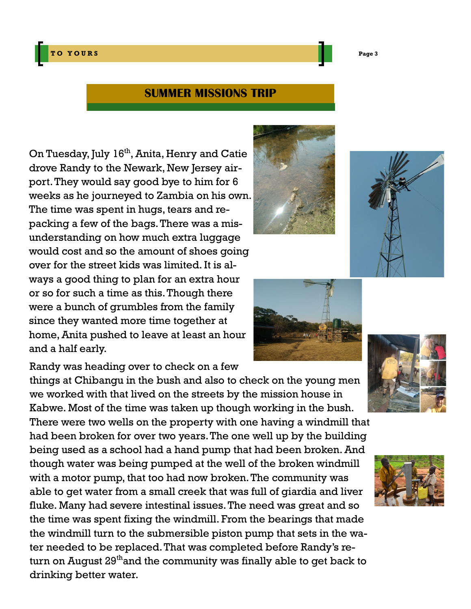**T O Y O U R S Page 3**

# **SUMMER MISSIONS TRIP**

On Tuesday, July 16<sup>th</sup>, Anita, Henry and Catie drove Randy to the Newark, New Jersey airport. They would say good bye to him for 6 weeks as he journeyed to Zambia on his own. The time was spent in hugs, tears and repacking a few of the bags. There was a misunderstanding on how much extra luggage would cost and so the amount of shoes going over for the street kids was limited. It is always a good thing to plan for an extra hour or so for such a time as this. Though there were a bunch of grumbles from the family since they wanted more time together at home, Anita pushed to leave at least an hour and a half early.

Randy was heading over to check on a few

things at Chibangu in the bush and also to check on the young men we worked with that lived on the streets by the mission house in Kabwe. Most of the time was taken up though working in the bush.

There were two wells on the property with one having a windmill that had been broken for over two years. The one well up by the building being used as a school had a hand pump that had been broken. And though water was being pumped at the well of the broken windmill with a motor pump, that too had now broken. The community was able to get water from a small creek that was full of giardia and liver fluke. Many had severe intestinal issues. The need was great and so the time was spent fixing the windmill. From the bearings that made the windmill turn to the submersible piston pump that sets in the water needed to be replaced. That was completed before Randy's return on August  $29<sup>th</sup>$  and the community was finally able to get back to drinking better water.